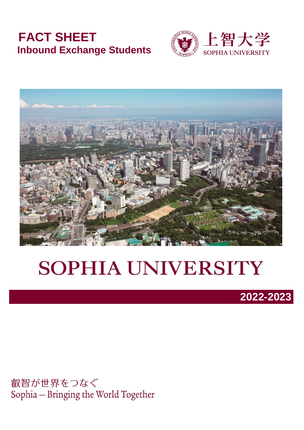# **FACT SHEET Inbound Exchange Students**





# **SOPHIA UNIVERSITY**



叡智が世界をつなぐ Sophia - Bringing the World Together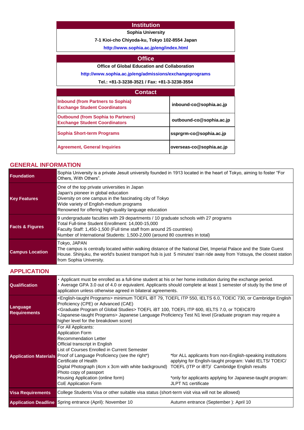#### **Institution**

#### **Sophia University**

**7-1 Kioi-cho Chiyoda-ku, Tokyo 102-8554 Japan**

**[http://](http://www.sophia.ac.jp/eng/admissions/exchangeprograms)www.sophia.ac.jp/eng/index.html**

#### **Office**

#### **Office of Global Education and Collaboration**

**[http://www.soph](http://www.sophia.ac.jp/eng/admissions/exchangeprograms)ia.ac.jp/eng/admissions/exchangeprograms**

**Tel.: +81-3-3238-3521 / Fax: +81-3-3238-3554**

| <b>Contact</b>                                                                    |                          |
|-----------------------------------------------------------------------------------|--------------------------|
| <b>Inbound (from Partners to Sophia)</b><br><b>Exchange Student Coordinators</b>  | inbound-co@sophia.ac.jp  |
| <b>Outbound (from Sophia to Partners)</b><br><b>Exchange Student Coordinators</b> | outbound-co@sophia.ac.jp |
| <b>Sophia Short-term Programs</b>                                                 | ssprgrm-co@sophia.ac.jp  |
| <b>Agreement, General Inquiries</b>                                               | overseas-co@sophia.ac.jp |

#### **GENERAL INFORMATION**

| <b>Foundation</b>          | Sophia University is a private Jesuit university founded in 1913 located in the heart of Tokyo, aiming to foster "For<br>Others, With Others".                                                                                                                                                     |
|----------------------------|----------------------------------------------------------------------------------------------------------------------------------------------------------------------------------------------------------------------------------------------------------------------------------------------------|
| <b>Key Features</b>        | One of the top private universities in Japan<br>Japan's pioneer in global education<br>Diversity on one campus in the fascinating city of Tokyo<br>Wide variety of English-medium programs<br>Renowned for offering high-quality language education                                                |
| <b>Facts &amp; Figures</b> | 9 undergraduate faculties with 29 departments / 10 graduate schools with 27 programs<br>Total Full-time Student Enrollment: 14,000-15,000<br>Faculty Staff: 1,450-1,500 (Full time staff from around 25 countries)<br>Number of International Students: 1,500-2,000 (around 80 countries in total) |
| <b>Campus Location</b>     | Tokyo, JAPAN<br>The campus is centrally located within walking distance of the National Diet, Imperial Palace and the State Guest<br>House. Shinjuku, the world's busiest transport hub is just 5 minutes' train ride away from Yotsuya, the closest station<br>from Sophia University.            |

#### **APPLICATION**

| <b>Qualification</b>            | · Applicant must be enrolled as a full-time student at his or her home institution during the exchange period.<br>· Average GPA 3.0 out of 4.0 or equivalent. Applicants should complete at least 1 semester of study by the time of<br>application unless otherwise agreed in bilateral agreements.                                                                                                                                           |                                                                                                                                                                                                             |  |
|---------------------------------|------------------------------------------------------------------------------------------------------------------------------------------------------------------------------------------------------------------------------------------------------------------------------------------------------------------------------------------------------------------------------------------------------------------------------------------------|-------------------------------------------------------------------------------------------------------------------------------------------------------------------------------------------------------------|--|
| Language<br><b>Requirements</b> | English-taught Programs> minimum TOEFL iBT 79, TOEFL ITP 550, IELTS 6.0, TOEIC 730, or Cambridge English><br>Proficiency (CPE) or Advanced (CAE)<br><graduate global="" of="" program="" studies=""> TOEFL iBT 100, TOEFL ITP 600, IELTS 7.0, or TOEIC870<br/><japanese-taught programs=""> Japanese Language Proficiency Test N1 level (Graduate program may require a<br/>higher level for the breakdown score)</japanese-taught></graduate> |                                                                                                                                                                                                             |  |
| <b>Application Materials</b>    | For All Applicants:<br><b>Application Form</b><br><b>Recommendation Letter</b><br>Official transcript in English<br>List of Courses Enrolled in Current Semester<br>Proof of Language Proficiency (see the right*)<br>Certificate of Health<br>Digital Photograph (4cm x 3cm with white background) TOEFL (ITP or iBT)/ Cambridge English results<br>Photo copy of passport<br>Housing Application (online form)<br>CoE Application Form       | *for ALL applicants from non-English-speaking institutions<br>applying for English-taught program: Valid IELTS/ TOEIC/<br>*only for applicants applying for Japanese-taught program:<br>JLPT N1 certificate |  |
| <b>Visa Requirements</b>        | College Students Visa or other suitable visa status (short-term visit visa will not be allowed)                                                                                                                                                                                                                                                                                                                                                |                                                                                                                                                                                                             |  |
|                                 | <b>Application Deadline</b> Spring entrance (April): November 10                                                                                                                                                                                                                                                                                                                                                                               | Autumn entrance (September): April 10                                                                                                                                                                       |  |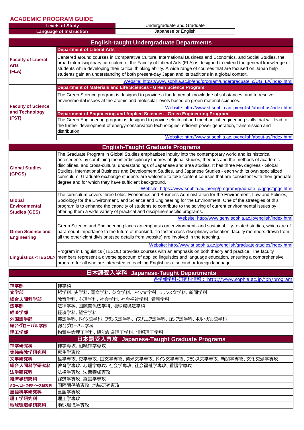#### **ACADEMIC PROGRAM GUIDE**

| Undergraduate and Graduate<br><b>Levels of Study</b> |                     |
|------------------------------------------------------|---------------------|
| Language of Instruction                              | Japanese or English |
|                                                      |                     |

|                                                        | <b>English-taught Undergraduate Departments</b>                                                                                                                                                                                                                                                                                                                                                                                                                                                                                                                                   |  |
|--------------------------------------------------------|-----------------------------------------------------------------------------------------------------------------------------------------------------------------------------------------------------------------------------------------------------------------------------------------------------------------------------------------------------------------------------------------------------------------------------------------------------------------------------------------------------------------------------------------------------------------------------------|--|
|                                                        | <b>Department of Liberal Arts</b>                                                                                                                                                                                                                                                                                                                                                                                                                                                                                                                                                 |  |
| <b>Faculty of Liberal</b><br><b>Arts</b><br>(FLA)      | Centered around courses in Comparative Culture, International Business and Economics, and Social Studies, the<br>broad interdisciplinary curriculum of the Faculty of Liberal Arts (FLA) is designed to extend the general knowledge of<br>students while developing their critical thinking ability. A wide range of courses that are focused on Japan help<br>students gain an understanding of both present-day Japan and its traditions in a global context.                                                                                                                  |  |
|                                                        | Website: https://www.sophia.ac.jp/eng/program/undergraduate_c/UG_LA/index.html                                                                                                                                                                                                                                                                                                                                                                                                                                                                                                    |  |
|                                                        | Department of Materials and Life Sciences - Green Science Program                                                                                                                                                                                                                                                                                                                                                                                                                                                                                                                 |  |
|                                                        | The Green Science program is designed to provide a fundamental knowledge of substances, and to resolve<br>environmental issues at the atomic and molecular levels based on green material sciences.                                                                                                                                                                                                                                                                                                                                                                               |  |
| <b>Faculty of Science</b>                              | Website: http://www.st.sophia.ac.jp/english/about-us/index.html                                                                                                                                                                                                                                                                                                                                                                                                                                                                                                                   |  |
| and Technology<br>(FST)                                | Department of Engineering and Applied Sciences - Green Engineering Program<br>The Green Engineering program is designed to provide electrical and mechanical engineering skills that will lead to<br>the further development of energy-conservation technologies, efficient power generation, transmission and<br>distribution.                                                                                                                                                                                                                                                   |  |
|                                                        | Website: http://www.st.sophia.ac.jp/english/about-us/index.html                                                                                                                                                                                                                                                                                                                                                                                                                                                                                                                   |  |
|                                                        | <b>English-Taught Graduate Programs</b>                                                                                                                                                                                                                                                                                                                                                                                                                                                                                                                                           |  |
| <b>Global Studies</b><br>(GPGS)                        | The Graduate Program in Global Studies emphasizes inquiry into the contemporary world and its historical<br>antecedents by combining the interdisciplinary themes of global studies, theories and the methods of academic<br>disciplines, and cross-cultural understandings of Japanese and area studies. It has three MA degrees - Global<br>Studies, International Business and Development Studies, and Japanese Studies - each with its own specialized<br>curriculum. Graduate exchange students are welcome to take content courses that are consistent with their graduate |  |
|                                                        | degree and for which they have sufficient background.<br>Website: https://www.sophia.ac.jp/eng/program/graduate_p/gpgs/gpgs.html                                                                                                                                                                                                                                                                                                                                                                                                                                                  |  |
| Global<br><b>Environmental</b><br><b>Studies (GES)</b> | The curriculum covers three fields: Economics and Business Administration for the Environment, Law and Policies,<br>Sociology for the Environment, and Science and Engineering for the Environment. One of the strategies of this<br>program is to enhance the capacity of students to contribute to the solving of current environmental issues by<br>offering them a wide variety of practical and discipline-specific programs.<br>Website: http://www.genv.sophia.ac.jp/english/index.html                                                                                    |  |
| <b>Green Science and</b><br><b>Engineering</b>         | Green Science and Engineering places an emphasis on environment- and sustainability-related studies, which are of<br>paramount importance to the future of mankind. To foster cross-disciplinary education, faculty members drawn from<br>all the other eight divisions(see details from website) are involved in the teaching.                                                                                                                                                                                                                                                   |  |
|                                                        | Website: http://www.st.sophia.ac.jp/english/graduate-studies/index.html<br>Program in Linguistics (TESOL) provides courses with an emphasis on both theory and practice. The faculty<br>Linguistics <tesol>   members represent a diverse spectrum of applied linguistics and language education, ensuring a comprehensive<br/>program for all who are interested in teaching English as a second or foreign language.</tesol>                                                                                                                                                    |  |
|                                                        | 日本語受入学科 Japanese-Taught Departments                                                                                                                                                                                                                                                                                                                                                                                                                                                                                                                                               |  |
| 各学部学科·研究科情報: http://www.sophia.ac.jp/jpn/program       |                                                                                                                                                                                                                                                                                                                                                                                                                                                                                                                                                                                   |  |
| 神学部                                                    | 神学科                                                                                                                                                                                                                                                                                                                                                                                                                                                                                                                                                                               |  |
| 文学部                                                    | 哲学科、史学科、国文学科、英文学科、ドイツ文学科、フランス文学科、新聞学科                                                                                                                                                                                                                                                                                                                                                                                                                                                                                                                                             |  |
| 総合人間科学部                                                | 教育学科、心理学科、社会学科、社会福祉学科、看護学科                                                                                                                                                                                                                                                                                                                                                                                                                                                                                                                                                        |  |
| 法学部                                                    | 法律学科、国際関係法学科、地球環境法学科                                                                                                                                                                                                                                                                                                                                                                                                                                                                                                                                                              |  |
| 経済学部                                                   | 経済学科、経営学科                                                                                                                                                                                                                                                                                                                                                                                                                                                                                                                                                                         |  |
| 外国語学部                                                  | 英語学科、ドイツ語学科、フランス語学科、イスパニア語学科、ロシア語学科、ポルトガル語学科                                                                                                                                                                                                                                                                                                                                                                                                                                                                                                                                      |  |
| 総合グローバル学部                                              | 総合グローバル学科                                                                                                                                                                                                                                                                                                                                                                                                                                                                                                                                                                         |  |
| 理工学部                                                   | 物質生命理工学科、機能創造理工学科、情報理工学科                                                                                                                                                                                                                                                                                                                                                                                                                                                                                                                                                          |  |
|                                                        | 日本語受入専攻 Japanese-Taught Graduate Programs                                                                                                                                                                                                                                                                                                                                                                                                                                                                                                                                         |  |
| 神学研究科                                                  | 神学専攻、組織神学専攻                                                                                                                                                                                                                                                                                                                                                                                                                                                                                                                                                                       |  |
| 実践宗教学研究科                                               | 死生学専攻                                                                                                                                                                                                                                                                                                                                                                                                                                                                                                                                                                             |  |
| 文学研究科                                                  | 哲学専攻、史学専攻、国文学専攻、英米文学専攻、ドイツ文学専攻、フランス文学専攻、新聞学専攻、文化交渉学専攻                                                                                                                                                                                                                                                                                                                                                                                                                                                                                                                             |  |
| 総合人間科学研究科                                              | 教育学専攻、心理学専攻、社会学専攻、社会福祉学専攻、看護学専攻                                                                                                                                                                                                                                                                                                                                                                                                                                                                                                                                                   |  |
| 法学研究科                                                  | 法律学専攻、法曹養成専攻                                                                                                                                                                                                                                                                                                                                                                                                                                                                                                                                                                      |  |
| 経済学研究科<br>グローバル・スタディーズ研究科                              | 経済学専攻、経営学専攻<br>国際関係論専攻、地域研究専攻                                                                                                                                                                                                                                                                                                                                                                                                                                                                                                                                                     |  |
| 言語科学研究科                                                | 言語学専攻                                                                                                                                                                                                                                                                                                                                                                                                                                                                                                                                                                             |  |
| 理工学研究科                                                 | 理工学専攻                                                                                                                                                                                                                                                                                                                                                                                                                                                                                                                                                                             |  |
| 地球環境学研究科                                               | 地球環境学専攻                                                                                                                                                                                                                                                                                                                                                                                                                                                                                                                                                                           |  |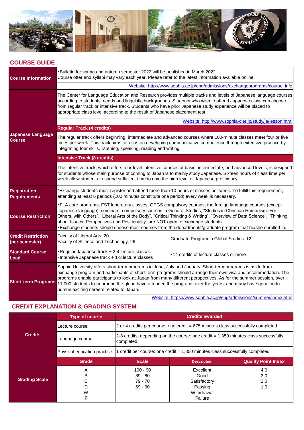

#### **COURSE GUIDE**

| <b>Course Information</b>                   | . Bulletin for spring and autumn semester 2022 will be published in March 2022.<br>Course offer and syllabi may vary each year. Please refer to the latest information available online.                                                                                                                                                                                                                                                                                                                                                                                      |  |  |
|---------------------------------------------|-------------------------------------------------------------------------------------------------------------------------------------------------------------------------------------------------------------------------------------------------------------------------------------------------------------------------------------------------------------------------------------------------------------------------------------------------------------------------------------------------------------------------------------------------------------------------------|--|--|
|                                             | Website: http://www.sophia.ac.jp/eng/admissions/exchangeprograms/course_info                                                                                                                                                                                                                                                                                                                                                                                                                                                                                                  |  |  |
|                                             | The Center for Language Education and Research provides multiple tracks and levels of Japanese language courses<br>according to students' needs and linguistic backgrounds. Students who wish to attend Japanese class can choose<br>from regular track or intensive track. Students who have prior Japanese study experience will be placed to<br>appropriate class level according to the result of Japanese placement test.                                                                                                                                                |  |  |
|                                             | Website: http://www.sophia-cler.jp/study/ja/lesson.html                                                                                                                                                                                                                                                                                                                                                                                                                                                                                                                       |  |  |
|                                             | <b>Regular Track (4 credits)</b>                                                                                                                                                                                                                                                                                                                                                                                                                                                                                                                                              |  |  |
| <b>Japanese Language</b><br><b>Course</b>   | The regular track offers beginning, intermediate and advanced courses where 100-minute classes meet four or five<br>times per week. This track aims to focus on developing communicative competence through extensive practice by<br>integrating four skills, listening, speaking, reading and writing.                                                                                                                                                                                                                                                                       |  |  |
|                                             | <b>Intensive Track (8 credits)</b>                                                                                                                                                                                                                                                                                                                                                                                                                                                                                                                                            |  |  |
|                                             | The intensive track, which offers four-level intensive courses at basic, intermediate, and advanced levels, is designed<br>for students whose main purpose of coming to Japan is to mainly study Japanese. Sixteen hours of class time per<br>week allow students to spend sufficient time to gain the high level of Japanese proficiency.                                                                                                                                                                                                                                    |  |  |
| <b>Registration</b><br><b>Requirements</b>  | *Exchange students must register and attend more than 10 hours of classes per week. To fulfill this requirement,<br>attending at least 6 periods (100 minutes constitute one period) every week is necessary.                                                                                                                                                                                                                                                                                                                                                                 |  |  |
| <b>Course Restriction</b>                   | .FLA core programs, FST laboratory classes, GPGS compulsory courses, the foreign language courses (except<br>Japanese language), seminars, compulsory courses in General Studies, "Studies in Christian Humanism: For<br>Others, with Others", "Liberal Arts of the Body", "Critical Thinking & Writing", "Overview of Data Science", "Thinking<br>about Issues, Perspectives and Positionality" are NOT open to exchange students.<br>-Exchange students should choose most courses from the departments/graduate program that he/she enrolled in.                           |  |  |
| <b>Credit Restriction</b><br>(per semester) | Faculty of Liberal Arts: 20<br>Graduate Program in Global Studies: 12<br>Faculty of Science and Technology: 26                                                                                                                                                                                                                                                                                                                                                                                                                                                                |  |  |
| <b>Standard Course</b><br>Load              | Regular Japanese track + 2-4 lecture classes<br>.14 credits of lecture classes or more<br>Intensive Japanese track + 1-3 lecture classes                                                                                                                                                                                                                                                                                                                                                                                                                                      |  |  |
| <b>Short-term Programs</b>                  | Sophia University offers short-term programs in June, July and January. Short-term programs is aside from<br>exchange program and participants of short-term programs should arrange their own visa and accommodation. The<br>programs enable participants to look at Japan from many different perspectives. As for the summer session, over<br>11,000 students from around the globe have attended the programs over the years, and many have gone on to<br>pursue exciting careers related to Japan.<br>Website: https://www.sophia.ac.jp/eng/admissions/summer/index.html |  |  |
|                                             |                                                                                                                                                                                                                                                                                                                                                                                                                                                                                                                                                                               |  |  |

# **CREDIT EXPLANATION & GRADING SYSTEM**

|                                                                                                                                           | <b>Type of course</b>       | <b>Credits awarded</b>                                                                     |                    |                            |
|-------------------------------------------------------------------------------------------------------------------------------------------|-----------------------------|--------------------------------------------------------------------------------------------|--------------------|----------------------------|
|                                                                                                                                           | Lecture course              | $\sqrt{2}$ or 4 credits per course : one credit = 675 minutes class successfully completed |                    |                            |
| <b>Credits</b><br>$2-8$ credits, depending on the course: one credit $= 1,350$ minutes class successfully<br>Language course<br>completed |                             |                                                                                            |                    |                            |
|                                                                                                                                           | Physical education practice | credit per course: one credit = 1,350 minutes class successfully completed                 |                    |                            |
|                                                                                                                                           | Grade                       | <b>Scale</b>                                                                               | <b>Description</b> | <b>Quality Point Index</b> |
|                                                                                                                                           | A                           | $100 - 90$                                                                                 | Excellent          | 4.0                        |
|                                                                                                                                           | в                           | $89 - 80$                                                                                  | Good               | 3.0                        |
| <b>Grading Scale</b>                                                                                                                      |                             | 79 - 70                                                                                    | Satisfactory       | 2.0                        |
|                                                                                                                                           | D                           | $69 - 60$                                                                                  | Passing            | 1.0                        |
|                                                                                                                                           | W                           |                                                                                            | Withdrawal         |                            |
|                                                                                                                                           | F                           |                                                                                            | Failure            |                            |